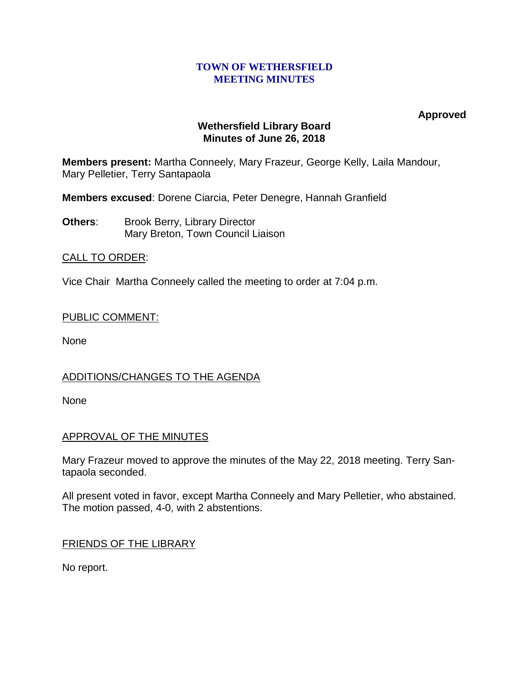#### **TOWN OF WETHERSFIELD MEETING MINUTES**

**Approved**

## **Wethersfield Library Board Minutes of June 26, 2018**

**Members present:** Martha Conneely, Mary Frazeur, George Kelly, Laila Mandour, Mary Pelletier, Terry Santapaola

**Members excused**: Dorene Ciarcia, Peter Denegre, Hannah Granfield

**Others:** Brook Berry, Library Director Mary Breton, Town Council Liaison

# CALL TO ORDER:

Vice Chair Martha Conneely called the meeting to order at 7:04 p.m.

## PUBLIC COMMENT:

None

# ADDITIONS/CHANGES TO THE AGENDA

None

# APPROVAL OF THE MINUTES

Mary Frazeur moved to approve the minutes of the May 22, 2018 meeting. Terry Santapaola seconded.

All present voted in favor, except Martha Conneely and Mary Pelletier, who abstained. The motion passed, 4-0, with 2 abstentions.

# FRIENDS OF THE LIBRARY

No report.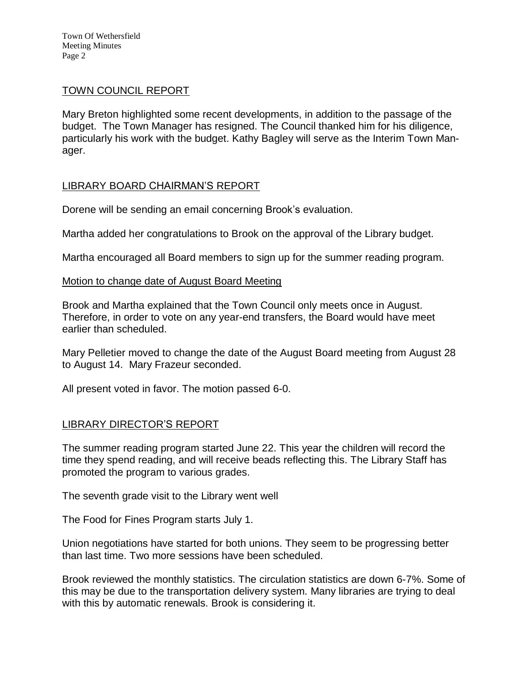Town Of Wethersfield Meeting Minutes Page 2

### TOWN COUNCIL REPORT

Mary Breton highlighted some recent developments, in addition to the passage of the budget. The Town Manager has resigned. The Council thanked him for his diligence, particularly his work with the budget. Kathy Bagley will serve as the Interim Town Manager.

## LIBRARY BOARD CHAIRMAN'S REPORT

Dorene will be sending an email concerning Brook's evaluation.

Martha added her congratulations to Brook on the approval of the Library budget.

Martha encouraged all Board members to sign up for the summer reading program.

#### Motion to change date of August Board Meeting

Brook and Martha explained that the Town Council only meets once in August. Therefore, in order to vote on any year-end transfers, the Board would have meet earlier than scheduled.

Mary Pelletier moved to change the date of the August Board meeting from August 28 to August 14. Mary Frazeur seconded.

All present voted in favor. The motion passed 6-0.

## LIBRARY DIRECTOR'S REPORT

The summer reading program started June 22. This year the children will record the time they spend reading, and will receive beads reflecting this. The Library Staff has promoted the program to various grades.

The seventh grade visit to the Library went well

The Food for Fines Program starts July 1.

Union negotiations have started for both unions. They seem to be progressing better than last time. Two more sessions have been scheduled.

Brook reviewed the monthly statistics. The circulation statistics are down 6-7%. Some of this may be due to the transportation delivery system. Many libraries are trying to deal with this by automatic renewals. Brook is considering it.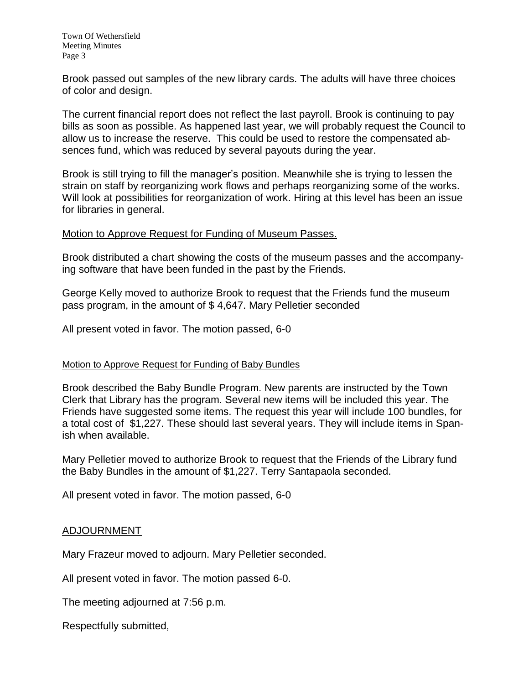Brook passed out samples of the new library cards. The adults will have three choices of color and design.

The current financial report does not reflect the last payroll. Brook is continuing to pay bills as soon as possible. As happened last year, we will probably request the Council to allow us to increase the reserve. This could be used to restore the compensated absences fund, which was reduced by several payouts during the year.

Brook is still trying to fill the manager's position. Meanwhile she is trying to lessen the strain on staff by reorganizing work flows and perhaps reorganizing some of the works. Will look at possibilities for reorganization of work. Hiring at this level has been an issue for libraries in general.

### Motion to Approve Request for Funding of Museum Passes.

Brook distributed a chart showing the costs of the museum passes and the accompanying software that have been funded in the past by the Friends.

George Kelly moved to authorize Brook to request that the Friends fund the museum pass program, in the amount of \$ 4,647. Mary Pelletier seconded

All present voted in favor. The motion passed, 6-0

#### Motion to Approve Request for Funding of Baby Bundles

Brook described the Baby Bundle Program. New parents are instructed by the Town Clerk that Library has the program. Several new items will be included this year. The Friends have suggested some items. The request this year will include 100 bundles, for a total cost of \$1,227. These should last several years. They will include items in Spanish when available.

Mary Pelletier moved to authorize Brook to request that the Friends of the Library fund the Baby Bundles in the amount of \$1,227. Terry Santapaola seconded.

All present voted in favor. The motion passed, 6-0

## ADJOURNMENT

Mary Frazeur moved to adjourn. Mary Pelletier seconded.

All present voted in favor. The motion passed 6-0.

The meeting adjourned at 7:56 p.m.

Respectfully submitted,